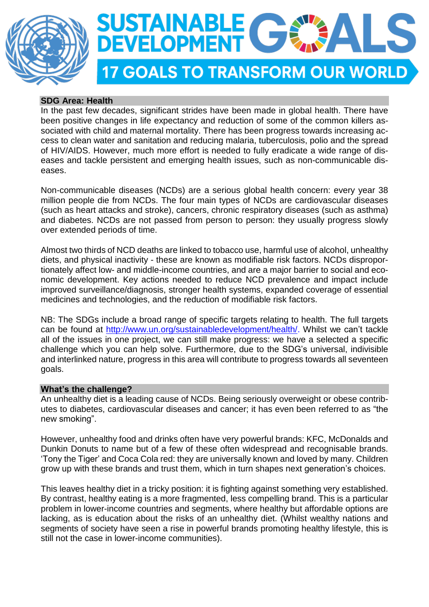



# **SDG Area: Health**

In the past few decades, significant strides have been made in global health. There have been positive changes in life expectancy and reduction of some of the common killers associated with child and maternal mortality. There has been progress towards increasing access to clean water and sanitation and reducing malaria, tuberculosis, polio and the spread of HIV/AIDS. However, much more effort is needed to fully eradicate a wide range of diseases and tackle persistent and emerging health issues, such as non-communicable diseases.

Non-communicable diseases (NCDs) are a serious global health concern: every year 38 million people die from NCDs. The four main types of NCDs are cardiovascular diseases (such as heart attacks and stroke), cancers, chronic respiratory diseases (such as asthma) and diabetes. NCDs are not passed from person to person: they usually progress slowly over extended periods of time.

Almost two thirds of NCD deaths are linked to tobacco use, harmful use of alcohol, unhealthy diets, and physical inactivity - these are known as modifiable risk factors. NCDs disproportionately affect low- and middle-income countries, and are a major barrier to social and economic development. Key actions needed to reduce NCD prevalence and impact include improved surveillance/diagnosis, stronger health systems, expanded coverage of essential medicines and technologies, and the reduction of modifiable risk factors.

NB: The SDGs include a broad range of specific targets relating to health. The full targets can be found at [http://www.un.org/sustainabledevelopment/health/.](http://www.un.org/sustainabledevelopment/health/) Whilst we can't tackle all of the issues in one project, we can still make progress: we have a selected a specific challenge which you can help solve. Furthermore, due to the SDG's universal, indivisible and interlinked nature, progress in this area will contribute to progress towards all seventeen goals.

## **What's the challenge?**

An unhealthy diet is a leading cause of NCDs. Being seriously overweight or obese contributes to diabetes, cardiovascular diseases and cancer; it has even been referred to as "the new smoking".

However, unhealthy food and drinks often have very powerful brands: KFC, McDonalds and Dunkin Donuts to name but of a few of these often widespread and recognisable brands. 'Tony the Tiger' and Coca Cola red: they are universally known and loved by many. Children grow up with these brands and trust them, which in turn shapes next generation's choices.

This leaves healthy diet in a tricky position: it is fighting against something very established. By contrast, healthy eating is a more fragmented, less compelling brand. This is a particular problem in lower-income countries and segments, where healthy but affordable options are lacking, as is education about the risks of an unhealthy diet. (Whilst wealthy nations and segments of society have seen a rise in powerful brands promoting healthy lifestyle, this is still not the case in lower-income communities).